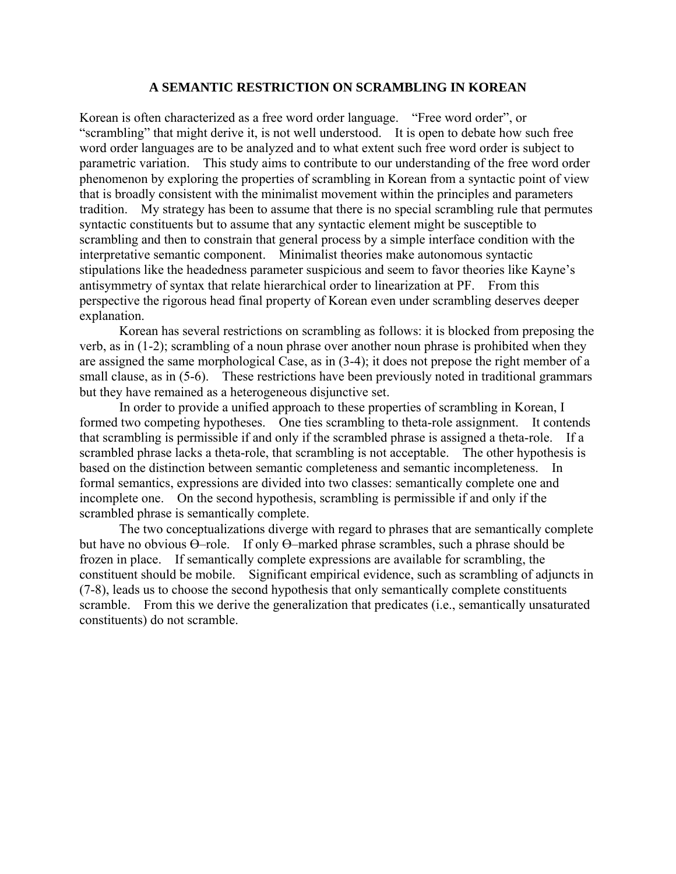## **A SEMANTIC RESTRICTION ON SCRAMBLING IN KOREAN**

Korean is often characterized as a free word order language. "Free word order", or "scrambling" that might derive it, is not well understood. It is open to debate how such free word order languages are to be analyzed and to what extent such free word order is subject to parametric variation. This study aims to contribute to our understanding of the free word order phenomenon by exploring the properties of scrambling in Korean from a syntactic point of view that is broadly consistent with the minimalist movement within the principles and parameters tradition. My strategy has been to assume that there is no special scrambling rule that permutes syntactic constituents but to assume that any syntactic element might be susceptible to scrambling and then to constrain that general process by a simple interface condition with the interpretative semantic component. Minimalist theories make autonomous syntactic stipulations like the headedness parameter suspicious and seem to favor theories like Kayne's antisymmetry of syntax that relate hierarchical order to linearization at PF. From this perspective the rigorous head final property of Korean even under scrambling deserves deeper explanation.

Korean has several restrictions on scrambling as follows: it is blocked from preposing the verb, as in (1-2); scrambling of a noun phrase over another noun phrase is prohibited when they are assigned the same morphological Case, as in (3-4); it does not prepose the right member of a small clause, as in (5-6). These restrictions have been previously noted in traditional grammars but they have remained as a heterogeneous disjunctive set.

In order to provide a unified approach to these properties of scrambling in Korean, I formed two competing hypotheses. One ties scrambling to theta-role assignment. It contends that scrambling is permissible if and only if the scrambled phrase is assigned a theta-role. If a scrambled phrase lacks a theta-role, that scrambling is not acceptable. The other hypothesis is based on the distinction between semantic completeness and semantic incompleteness. In formal semantics, expressions are divided into two classes: semantically complete one and incomplete one. On the second hypothesis, scrambling is permissible if and only if the scrambled phrase is semantically complete.

The two conceptualizations diverge with regard to phrases that are semantically complete but have no obvious Ө–role. If only Ө–marked phrase scrambles, such a phrase should be frozen in place. If semantically complete expressions are available for scrambling, the constituent should be mobile. Significant empirical evidence, such as scrambling of adjuncts in (7-8), leads us to choose the second hypothesis that only semantically complete constituents scramble. From this we derive the generalization that predicates (i.e., semantically unsaturated constituents) do not scramble.